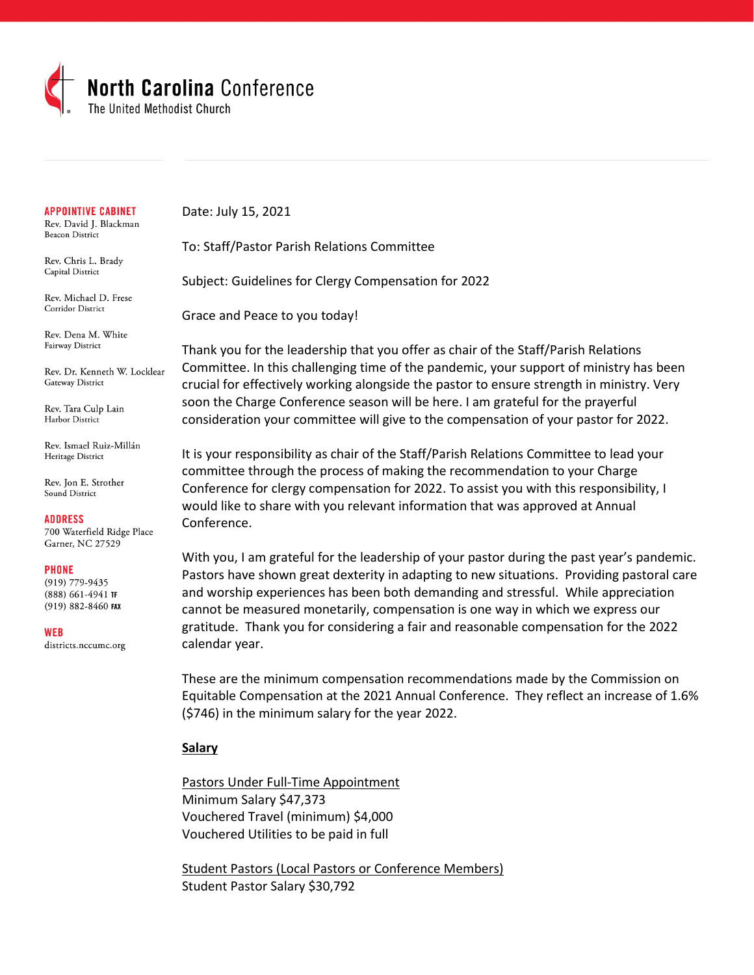

#### **APPOINTIVE CABINET**

Rev. David J. Blackman **Beacon District** 

Rev. Chris L. Brady Capital District

Rev. Michael D. Frese Corridor District

Rev. Dena M. White Fairway District

Rev. Dr. Kenneth W. Locklear Gateway District

Rev. Tara Culp Lain Harbor District

Rev. Ismael Ruiz-Millán Heritage District

Rev. Jon E. Strother Sound District

**ADDRESS** 

700 Waterfield Ridge Place Garner, NC 27529

#### **PHONE**

 $(919)$  779-9435 (888) 661-4941 TF (919) 882-8460 FAX

**WEB** 

districts.nccumc.org

Date: July 15, 2021

To: Staff/Pastor Parish Relations Committee

Subject: Guidelines for Clergy Compensation for 2022

Grace and Peace to you today!

Thank you for the leadership that you offer as chair of the Staff/Parish Relations Committee. In this challenging time of the pandemic, your support of ministry has been crucial for effectively working alongside the pastor to ensure strength in ministry. Very soon the Charge Conference season will be here. I am grateful for the prayerful consideration your committee will give to the compensation of your pastor for 2022.

It is your responsibility as chair of the Staff/Parish Relations Committee to lead your committee through the process of making the recommendation to your Charge Conference for clergy compensation for 2022. To assist you with this responsibility, I would like to share with you relevant information that was approved at Annual Conference.

With you, I am grateful for the leadership of your pastor during the past year's pandemic. Pastors have shown great dexterity in adapting to new situations. Providing pastoral care and worship experiences has been both demanding and stressful. While appreciation cannot be measured monetarily, compensation is one way in which we express our gratitude. Thank you for considering a fair and reasonable compensation for the 2022 calendar year.

These are the minimum compensation recommendations made by the Commission on Equitable Compensation at the 2021 Annual Conference. They reflect an increase of 1.6% (\$746) in the minimum salary for the year 2022.

#### **Salary**

Pastors Under Full-Time Appointment Minimum Salary \$47,373 Vouchered Travel (minimum) \$4,000 Vouchered Utilities to be paid in full

Student Pastors (Local Pastors or Conference Members) Student Pastor Salary \$30,792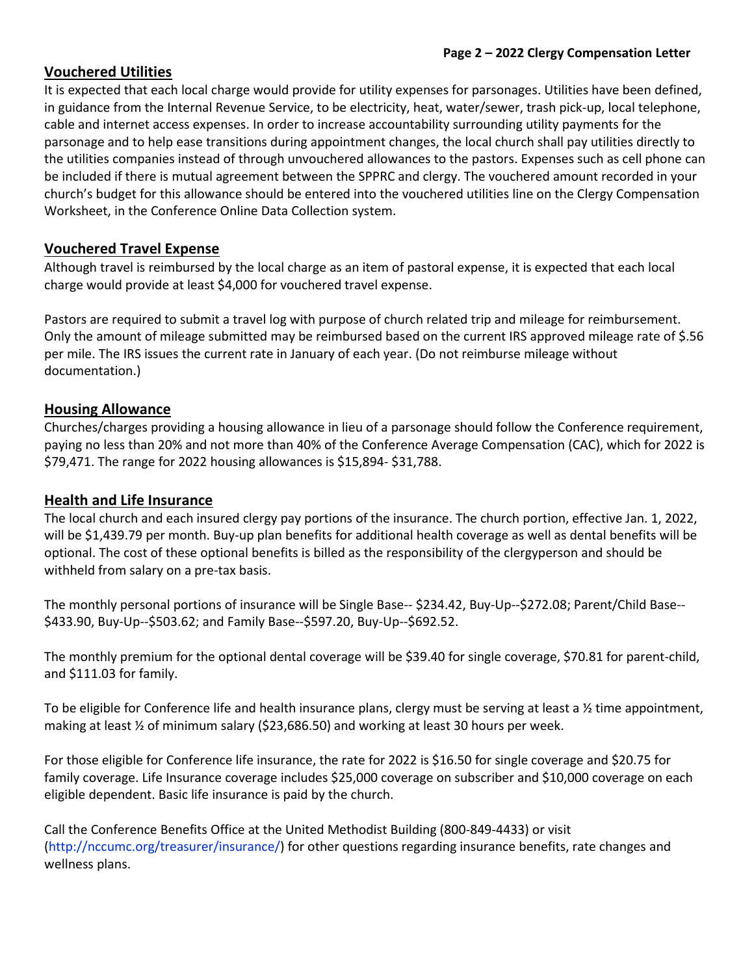# **Vouchered Utilities**

It is expected that each local charge would provide for utility expenses for parsonages. Utilities have been defined, in guidance from the Internal Revenue Service, to be electricity, heat, water/sewer, trash pick-up, local telephone, cable and internet access expenses. In order to increase accountability surrounding utility payments for the parsonage and to help ease transitions during appointment changes, the local church shall pay utilities directly to the utilities companies instead of through unvouchered allowances to the pastors. Expenses such as cell phone can be included if there is mutual agreement between the SPPRC and clergy. The vouchered amount recorded in your church's budget for this allowance should be entered into the vouchered utilities line on the Clergy Compensation Worksheet, in the Conference Online Data Collection system.

# **Vouchered Travel Expense**

Although travel is reimbursed by the local charge as an item of pastoral expense, it is expected that each local charge would provide at least \$4,000 for vouchered travel expense.

Pastors are required to submit a travel log with purpose of church related trip and mileage for reimbursement. Only the amount of mileage submitted may be reimbursed based on the current IRS approved mileage rate of \$.56 per mile. The IRS issues the current rate in January of each year. (Do not reimburse mileage without documentation.)

# **Housing Allowance**

Churches/charges providing a housing allowance in lieu of a parsonage should follow the Conference requirement, paying no less than 20% and not more than 40% of the Conference Average Compensation (CAC), which for 2022 is \$79,471. The range for 2022 housing allowances is \$15,894- \$31,788.

# **Health and Life Insurance**

The local church and each insured clergy pay portions of the insurance. The church portion, effective Jan. 1, 2022, will be \$1,439.79 per month. Buy-up plan benefits for additional health coverage as well as dental benefits will be optional. The cost of these optional benefits is billed as the responsibility of the clergyperson and should be withheld from salary on a pre-tax basis.

The monthly personal portions of insurance will be Single Base-- \$234.42, Buy-Up--\$272.08; Parent/Child Base-- \$433.90, Buy-Up--\$503.62; and Family Base--\$597.20, Buy-Up--\$692.52.

The monthly premium for the optional dental coverage will be \$39.40 for single coverage, \$70.81 for parent-child, and \$111.03 for family.

To be eligible for Conference life and health insurance plans, clergy must be serving at least a  $\frac{1}{2}$  time appointment, making at least ½ of minimum salary (\$23,686.50) and working at least 30 hours per week.

For those eligible for Conference life insurance, the rate for 2022 is \$16.50 for single coverage and \$20.75 for family coverage. Life Insurance coverage includes \$25,000 coverage on subscriber and \$10,000 coverage on each eligible dependent. Basic life insurance is paid by the church.

Call the Conference Benefits Office at the United Methodist Building (800-849-4433) or visit (http://nccumc.org/treasurer/insurance/) for other questions regarding insurance benefits, rate changes and wellness plans.